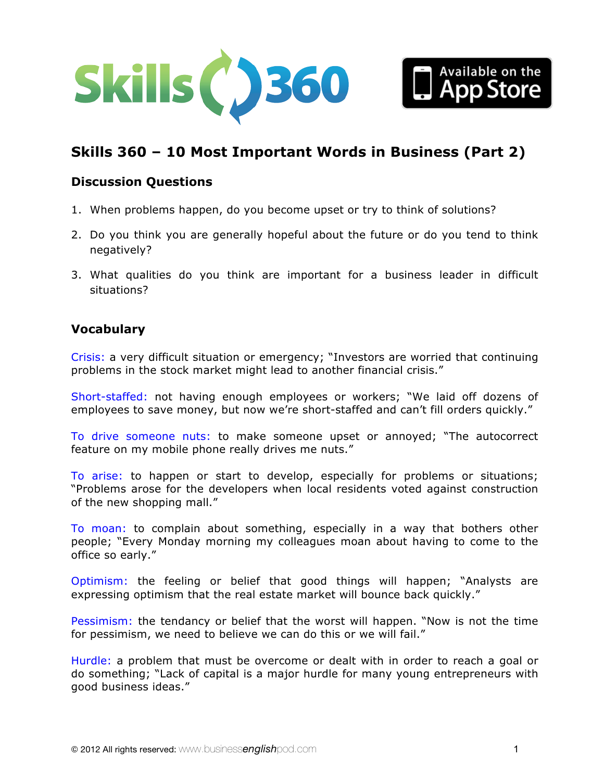



# **Skills 360 – [10 Most Important Words in Business \(Part 2\)](http://www.businessenglishpod.com/2013/09/01/business-english-skills-360-top-10-words-in-business-part-2/)**

## **Discussion Questions**

- 1. When problems happen, do you become upset or try to think of solutions?
- 2. Do you think you are generally hopeful about the future or do you tend to think negatively?
- 3. What qualities do you think are important for a business leader in difficult situations?

# **Vocabulary**

Crisis: a very difficult situation or emergency; "Investors are worried that continuing problems in the stock market might lead to another financial crisis."

Short-staffed: not having enough employees or workers; "We laid off dozens of employees to save money, but now we're short-staffed and can't fill orders quickly."

To drive someone nuts: to make someone upset or annoyed; "The autocorrect feature on my mobile phone really drives me nuts."

To arise: to happen or start to develop, especially for problems or situations; "Problems arose for the developers when local residents voted against construction of the new shopping mall."

To moan: to complain about something, especially in a way that bothers other people; "Every Monday morning my colleagues moan about having to come to the office so early."

Optimism: the feeling or belief that good things will happen; "Analysts are expressing optimism that the real estate market will bounce back quickly."

Pessimism: the tendancy or belief that the worst will happen. "Now is not the time for pessimism, we need to believe we can do this or we will fail."

Hurdle: a problem that must be overcome or dealt with in order to reach a goal or do something; "Lack of capital is a major hurdle for many young entrepreneurs with good business ideas."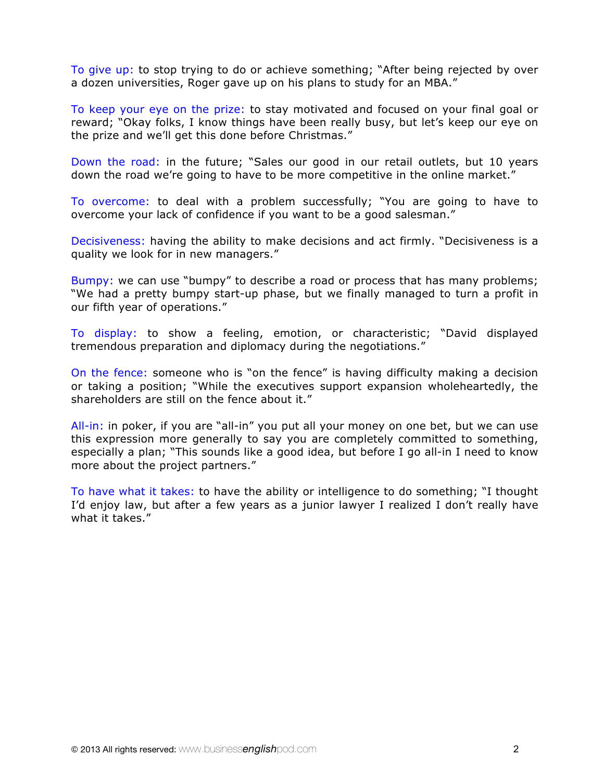To give up: to stop trying to do or achieve something; "After being rejected by over a dozen universities, Roger gave up on his plans to study for an MBA."

To keep your eye on the prize: to stay motivated and focused on your final goal or reward; "Okay folks, I know things have been really busy, but let's keep our eye on the prize and we'll get this done before Christmas."

Down the road: in the future; "Sales our good in our retail outlets, but 10 years down the road we're going to have to be more competitive in the online market."

To overcome: to deal with a problem successfully; "You are going to have to overcome your lack of confidence if you want to be a good salesman."

Decisiveness: having the ability to make decisions and act firmly. "Decisiveness is a quality we look for in new managers."

Bumpy: we can use "bumpy" to describe a road or process that has many problems; "We had a pretty bumpy start-up phase, but we finally managed to turn a profit in our fifth year of operations."

To display: to show a feeling, emotion, or characteristic; "David displayed tremendous preparation and diplomacy during the negotiations."

On the fence: someone who is "on the fence" is having difficulty making a decision or taking a position; "While the executives support expansion wholeheartedly, the shareholders are still on the fence about it."

All-in: in poker, if you are "all-in" you put all your money on one bet, but we can use this expression more generally to say you are completely committed to something, especially a plan; "This sounds like a good idea, but before I go all-in I need to know more about the project partners."

To have what it takes: to have the ability or intelligence to do something; "I thought I'd enjoy law, but after a few years as a junior lawyer I realized I don't really have what it takes."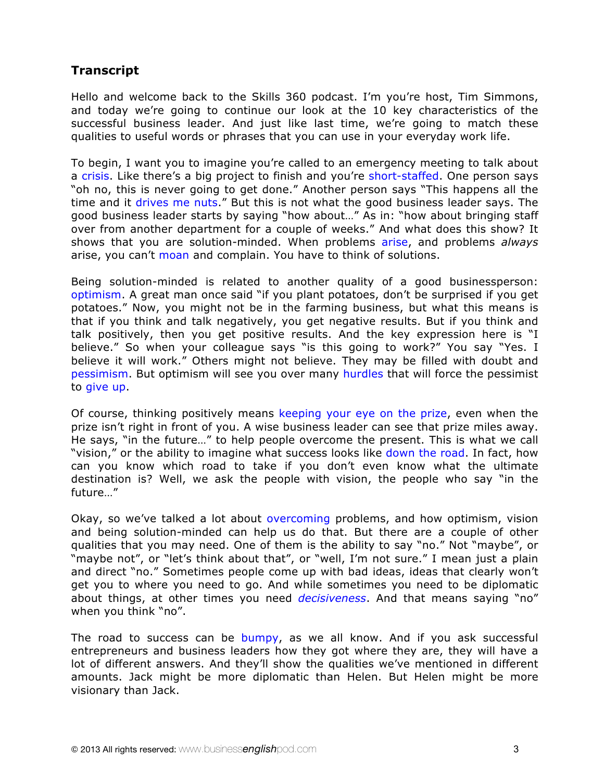# **Transcript**

Hello and welcome back to the Skills 360 podcast. I'm you're host, Tim Simmons, and today we're going to continue our look at the 10 key characteristics of the successful business leader. And just like last time, we're going to match these qualities to useful words or phrases that you can use in your everyday work life.

To begin, I want you to imagine you're called to an emergency meeting to talk about a crisis. Like there's a big project to finish and you're short-staffed. One person says "oh no, this is never going to get done." Another person says "This happens all the time and it drives me nuts." But this is not what the good business leader says. The good business leader starts by saying "how about…" As in: "how about bringing staff over from another department for a couple of weeks." And what does this show? It shows that you are solution-minded. When problems arise, and problems *always* arise, you can't moan and complain. You have to think of solutions.

Being solution-minded is related to another quality of a good businessperson: optimism. A great man once said "if you plant potatoes, don't be surprised if you get potatoes." Now, you might not be in the farming business, but what this means is that if you think and talk negatively, you get negative results. But if you think and talk positively, then you get positive results. And the key expression here is "I believe." So when your colleague says "is this going to work?" You say "Yes. I believe it will work." Others might not believe. They may be filled with doubt and pessimism. But optimism will see you over many hurdles that will force the pessimist to give up.

Of course, thinking positively means keeping your eye on the prize, even when the prize isn't right in front of you. A wise business leader can see that prize miles away. He says, "in the future…" to help people overcome the present. This is what we call "vision," or the ability to imagine what success looks like down the road. In fact, how can you know which road to take if you don't even know what the ultimate destination is? Well, we ask the people with vision, the people who say "in the future…"

Okay, so we've talked a lot about overcoming problems, and how optimism, vision and being solution-minded can help us do that. But there are a couple of other qualities that you may need. One of them is the ability to say "no." Not "maybe", or "maybe not", or "let's think about that", or "well, I'm not sure." I mean just a plain and direct "no." Sometimes people come up with bad ideas, ideas that clearly won't get you to where you need to go. And while sometimes you need to be diplomatic about things, at other times you need *decisiveness*. And that means saying "no" when you think "no".

The road to success can be bumpy, as we all know. And if you ask successful entrepreneurs and business leaders how they got where they are, they will have a lot of different answers. And they'll show the qualities we've mentioned in different amounts. Jack might be more diplomatic than Helen. But Helen might be more visionary than Jack.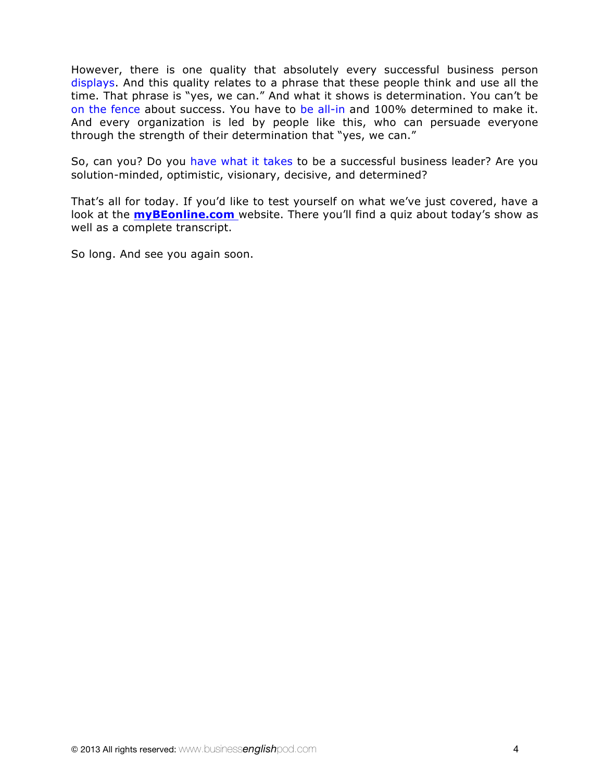However, there is one quality that absolutely every successful business person displays. And this quality relates to a phrase that these people think and use all the time. That phrase is "yes, we can." And what it shows is determination. You can't be on the fence about success. You have to be all-in and 100% determined to make it. And every organization is led by people like this, who can persuade everyone through the strength of their determination that "yes, we can."

So, can you? Do you have what it takes to be a successful business leader? Are you solution-minded, optimistic, visionary, decisive, and determined?

That's all for today. If you'd like to test yourself on what we've just covered, have a look at the **myBEonline.com** website. There you'll find a quiz about today's show as well as a complete transcript.

So long. And see you again soon.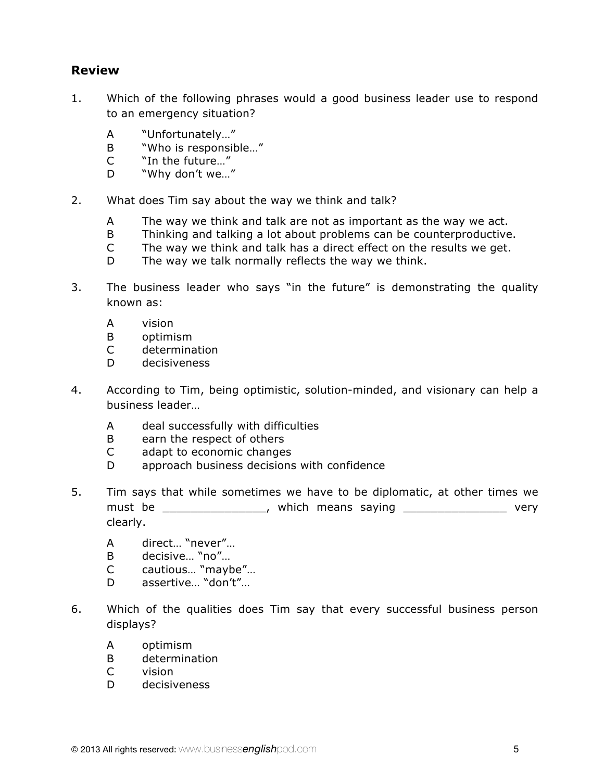# **Review**

- 1. Which of the following phrases would a good business leader use to respond to an emergency situation?
	- A "Unfortunately…"
	- B "Who is responsible…"
	- C "In the future…"
	- D "Why don't we..."
- 2. What does Tim say about the way we think and talk?
	- A The way we think and talk are not as important as the way we act.
	- B Thinking and talking a lot about problems can be counterproductive.
	- C The way we think and talk has a direct effect on the results we get.
	- D The way we talk normally reflects the way we think.
- 3. The business leader who says "in the future" is demonstrating the quality known as:
	- A vision
	- B optimism
	- C determination
	- D decisiveness
- 4. According to Tim, being optimistic, solution-minded, and visionary can help a business leader…
	- A deal successfully with difficulties
	- B earn the respect of others
	- C adapt to economic changes
	- D approach business decisions with confidence
- 5. Tim says that while sometimes we have to be diplomatic, at other times we must be \_\_\_\_\_\_\_\_\_\_\_\_\_\_\_\_\_, which means saying \_\_\_\_\_\_\_\_\_\_\_\_\_\_\_\_\_\_\_ very clearly.
	- A direct… "never"…
	- B decisive… "no"…
	- C cautious… "maybe"…
	- D assertive… "don't"…
- 6. Which of the qualities does Tim say that every successful business person displays?
	- A optimism
	- B determination
	- C vision
	- D decisiveness